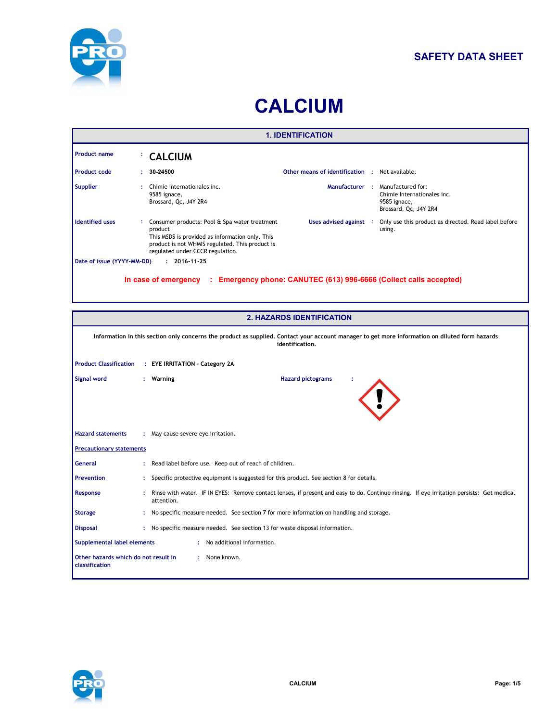

### **SAFETY DATA SHEET**

# **CALCIUM**

| <b>1. IDENTIFICATION</b>   |    |                                                                                                                                                                                                    |                                                       |  |                                                                                           |  |
|----------------------------|----|----------------------------------------------------------------------------------------------------------------------------------------------------------------------------------------------------|-------------------------------------------------------|--|-------------------------------------------------------------------------------------------|--|
| <b>Product name</b>        |    | : CALCIUM                                                                                                                                                                                          |                                                       |  |                                                                                           |  |
| <b>Product code</b>        | ÷. | 30-24500                                                                                                                                                                                           | <b>Other means of identification : Not available.</b> |  |                                                                                           |  |
| <b>Supplier</b>            |    | Chimie Internationales inc.<br>9585 ignace,<br>Brossard, Qc, J4Y 2R4                                                                                                                               | Manufacturer :                                        |  | Manufactured for:<br>Chimie Internationales inc.<br>9585 ignace,<br>Brossard, Qc, J4Y 2R4 |  |
| <b>Identified uses</b>     |    | Consumer products: Pool & Spa water treatment<br>product<br>This MSDS is provided as information only. This<br>product is not WHMIS regulated. This product is<br>regulated under CCCR regulation. | Uses advised against :                                |  | Only use this product as directed. Read label before<br>using.                            |  |
| Date of issue (YYYY-MM-DD) |    | $: 2016 - 11 - 25$                                                                                                                                                                                 |                                                       |  |                                                                                           |  |
|                            |    | In case of emergency<br><b>A</b>                                                                                                                                                                   |                                                       |  | Emergency phone: CANUTEC (613) 996-6666 (Collect calls accepted)                          |  |

| <b>2. HAZARDS IDENTIFICATION</b>                       |  |                                                                                                                                                                    |  |  |  |  |  |
|--------------------------------------------------------|--|--------------------------------------------------------------------------------------------------------------------------------------------------------------------|--|--|--|--|--|
|                                                        |  |                                                                                                                                                                    |  |  |  |  |  |
|                                                        |  | Information in this section only concerns the product as supplied. Contact your account manager to get more information on diluted form hazards<br>identification. |  |  |  |  |  |
|                                                        |  | Product Classification : EYE IRRITATION - Category 2A                                                                                                              |  |  |  |  |  |
| <b>Signal word</b>                                     |  | <b>Hazard pictograms</b><br>: Warning                                                                                                                              |  |  |  |  |  |
| <b>Hazard statements</b>                               |  | : May cause severe eye irritation.                                                                                                                                 |  |  |  |  |  |
| <b>Precautionary statements</b>                        |  |                                                                                                                                                                    |  |  |  |  |  |
| General                                                |  | Read label before use. Keep out of reach of children.                                                                                                              |  |  |  |  |  |
| <b>Prevention</b>                                      |  | Specific protective equipment is suggested for this product. See section 8 for details.                                                                            |  |  |  |  |  |
| Response                                               |  | Rinse with water. IF IN EYES: Remove contact lenses, if present and easy to do. Continue rinsing. If eye irritation persists: Get medical<br>attention.            |  |  |  |  |  |
| <b>Storage</b>                                         |  | No specific measure needed. See section 7 for more information on handling and storage.                                                                            |  |  |  |  |  |
| <b>Disposal</b>                                        |  | : No specific measure needed. See section 13 for waste disposal information.                                                                                       |  |  |  |  |  |
| Supplemental label elements                            |  | : No additional information.                                                                                                                                       |  |  |  |  |  |
| Other hazards which do not result in<br>classification |  | : None known.                                                                                                                                                      |  |  |  |  |  |

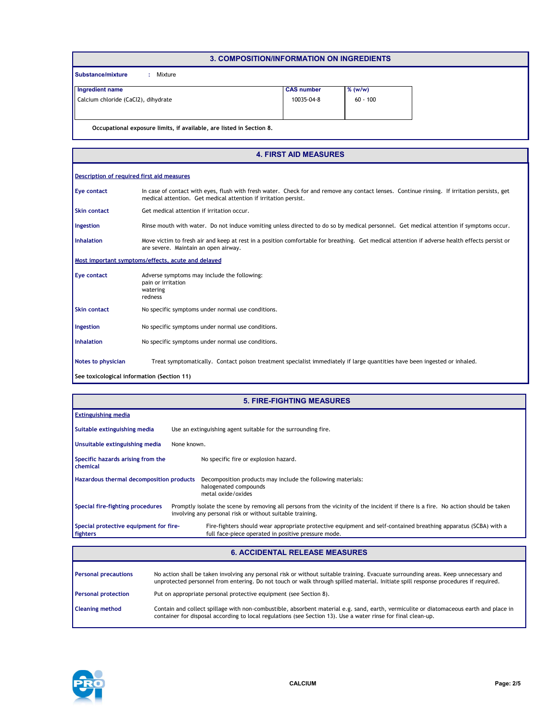|                                                                      | 3. COMPOSITION/INFORMATION ON INGREDIENTS |            |
|----------------------------------------------------------------------|-------------------------------------------|------------|
| Substance/mixture<br>Mixture<br>÷.                                   |                                           |            |
| Ingredient name                                                      | <b>CAS number</b>                         | $%$ (w/w)  |
| Calcium chloride (CaCl2), dihydrate                                  | 10035-04-8                                | $60 - 100$ |
|                                                                      |                                           |            |
| Occupational exposure limits, if available, are listed in Section 8. |                                           |            |

|                                            | <b>4. FIRST AID MEASURES</b>                                                                                                                                                                                    |  |  |  |  |  |
|--------------------------------------------|-----------------------------------------------------------------------------------------------------------------------------------------------------------------------------------------------------------------|--|--|--|--|--|
|                                            | Description of required first aid measures                                                                                                                                                                      |  |  |  |  |  |
| <b>Eye contact</b>                         | In case of contact with eyes, flush with fresh water. Check for and remove any contact lenses. Continue rinsing. If irritation persists, get<br>medical attention. Get medical attention if irritation persist. |  |  |  |  |  |
| <b>Skin contact</b>                        | Get medical attention if irritation occur.                                                                                                                                                                      |  |  |  |  |  |
| Ingestion                                  | Rinse mouth with water. Do not induce vomiting unless directed to do so by medical personnel. Get medical attention if symptoms occur.                                                                          |  |  |  |  |  |
| <b>Inhalation</b>                          | Move victim to fresh air and keep at rest in a position comfortable for breathing. Get medical attention if adverse health effects persist or<br>are severe. Maintain an open airway.                           |  |  |  |  |  |
|                                            | Most important symptoms/effects, acute and delayed                                                                                                                                                              |  |  |  |  |  |
| <b>Eye contact</b>                         | Adverse symptoms may include the following:<br>pain or irritation<br>watering<br>redness                                                                                                                        |  |  |  |  |  |
| <b>Skin contact</b>                        | No specific symptoms under normal use conditions.                                                                                                                                                               |  |  |  |  |  |
| Ingestion                                  | No specific symptoms under normal use conditions.                                                                                                                                                               |  |  |  |  |  |
| Inhalation                                 | No specific symptoms under normal use conditions.                                                                                                                                                               |  |  |  |  |  |
| Notes to physician                         | Treat symptomatically. Contact poison treatment specialist immediately if large quantities have been ingested or inhaled.                                                                                       |  |  |  |  |  |
| See toxicological information (Section 11) |                                                                                                                                                                                                                 |  |  |  |  |  |

|                                                    | <b>5. FIRE-FIGHTING MEASURES</b>                                                                                                                                                                |
|----------------------------------------------------|-------------------------------------------------------------------------------------------------------------------------------------------------------------------------------------------------|
| <b>Extinguishing media</b>                         |                                                                                                                                                                                                 |
| Suitable extinguishing media                       | Use an extinguishing agent suitable for the surrounding fire.                                                                                                                                   |
| Unsuitable extinguishing media                     | None known.                                                                                                                                                                                     |
| Specific hazards arising from the<br>chemical      | No specific fire or explosion hazard.                                                                                                                                                           |
| Hazardous thermal decomposition products           | Decomposition products may include the following materials:<br>halogenated compounds<br>metal oxide/oxides                                                                                      |
| Special fire-fighting procedures                   | Promptly isolate the scene by removing all persons from the vicinity of the incident if there is a fire. No action should be taken<br>involving any personal risk or without suitable training. |
| Special protective equipment for fire-<br>fighters | Fire-fighters should wear appropriate protective equipment and self-contained breathing apparatus (SCBA) with a<br>full face-piece operated in positive pressure mode.                          |

#### **6. ACCIDENTAL RELEASE MEASURES**

| <b>Personal precautions</b> | No action shall be taken involving any personal risk or without suitable training. Evacuate surrounding areas. Keep unnecessary and<br>unprotected personnel from entering. Do not touch or walk through spilled material. Initiate spill response procedures if required. |
|-----------------------------|----------------------------------------------------------------------------------------------------------------------------------------------------------------------------------------------------------------------------------------------------------------------------|
| <b>Personal protection</b>  | Put on appropriate personal protective equipment (see Section 8).                                                                                                                                                                                                          |
| <b>Cleaning method</b>      | Contain and collect spillage with non-combustible, absorbent material e.g. sand, earth, vermiculite or diatomaceous earth and place in<br>container for disposal according to local regulations (see Section 13). Use a water rinse for final clean-up.                    |

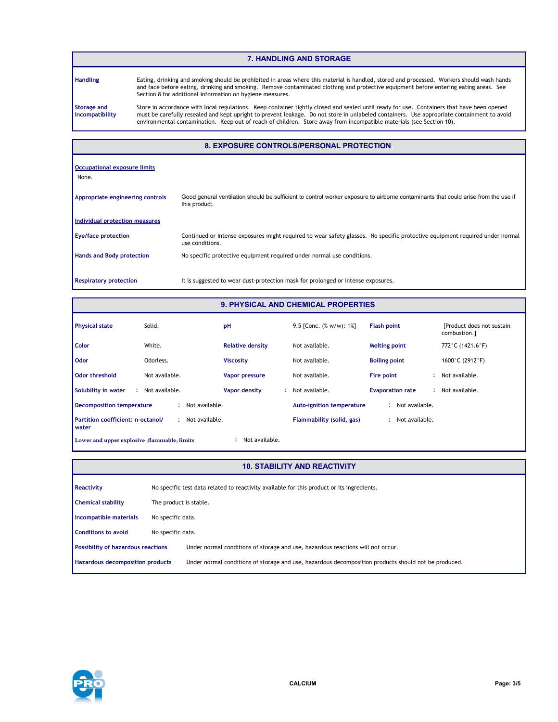#### **7. HANDLING AND STORAGE**

**Handling**

Eating, drinking and smoking should be prohibited in areas where this material is handled, stored and processed. Workers should wash hands and face before eating, drinking and smoking. Remove contaminated clothing and protective equipment before entering eating areas. See Section 8 for additional information on hygiene measures.

**Storage and Incompatibility** Store in accordance with local regulations. Keep container tightly closed and sealed until ready for use. Containers that have been opened must be carefully resealed and kept upright to prevent leakage. Do not store in unlabeled containers. Use appropriate containment to avoid environmental contamination. Keep out of reach of children. Store away from incompatible materials (see Section 10).

#### **8. EXPOSURE CONTROLS/PERSONAL PROTECTION**

| Occupational exposure limits     |                                                                                                                                                     |
|----------------------------------|-----------------------------------------------------------------------------------------------------------------------------------------------------|
| None.                            |                                                                                                                                                     |
|                                  |                                                                                                                                                     |
| Appropriate engineering controls | Good general ventilation should be sufficient to control worker exposure to airborne contaminants that could arise from the use if<br>this product. |
| Individual protection measures   |                                                                                                                                                     |
| <b>Eye/face protection</b>       | Continued or intense exposures might required to wear safety glasses. No specific protective equipment required under normal<br>use conditions.     |
| <b>Hands and Body protection</b> | No specific protective equipment required under normal use conditions.                                                                              |
|                                  |                                                                                                                                                     |
| <b>Respiratory protection</b>    | It is suggested to wear dust-protection mask for prolonged or intense exposures.                                                                    |

#### **9. PHYSICAL AND CHEMICAL PROPERTIES**

| <b>Physical state</b>                        | Solid.               | pH                      | 9.5 [Conc. $(\% w/w)$ : 1%]      | <b>Flash point</b>      | [Product does not sustain]<br>combustion.1 |
|----------------------------------------------|----------------------|-------------------------|----------------------------------|-------------------------|--------------------------------------------|
| Color                                        | White.               | <b>Relative density</b> | Not available.                   | <b>Melting point</b>    | 772 °C (1421.6 °F)                         |
| <b>Odor</b>                                  | Odorless.            | <b>Viscosity</b>        | Not available.                   | <b>Boiling point</b>    | 1600°C (2912°F)                            |
| Odor threshold                               | Not available.       | <b>Vapor pressure</b>   | Not available.                   | Fire point              | : Not available.                           |
| Solubility in water<br>-11                   | Not available.       | Vapor density           | Not available.                   | <b>Evaporation rate</b> | : Not available.                           |
| <b>Decomposition temperature</b>             | Not available.<br>÷. |                         | <b>Auto-ignition temperature</b> | Not available.<br>٠     |                                            |
| Partition coefficient: n-octanol/<br>water   | Not available.       |                         | Flammability (solid, gas)        | Not available.          |                                            |
| Lower and upper explosive (flammable) limits |                      | Not available.          |                                  |                         |                                            |

#### **10. STABILITY AND REACTIVITY**

| Reactivity                                |                        | No specific test data related to reactivity available for this product or its ingredients.           |
|-------------------------------------------|------------------------|------------------------------------------------------------------------------------------------------|
| <b>Chemical stability</b>                 | The product is stable. |                                                                                                      |
| Incompatible materials                    | No specific data.      |                                                                                                      |
| <b>Conditions to avoid</b>                | No specific data.      |                                                                                                      |
| <b>Possibility of hazardous reactions</b> |                        | Under normal conditions of storage and use, hazardous reactions will not occur.                      |
| <b>Hazardous decomposition products</b>   |                        | Under normal conditions of storage and use, hazardous decomposition products should not be produced. |
|                                           |                        |                                                                                                      |

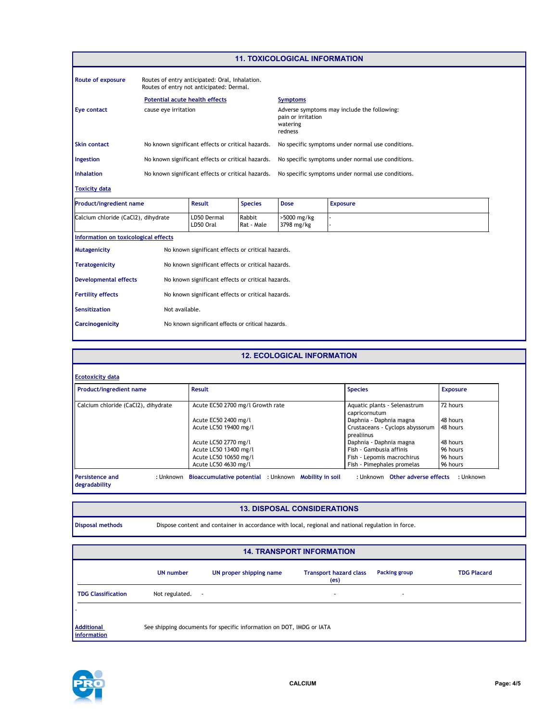|                                      |                                                                                            |                                                   |                                                   | <b>11. TOXICOLOGICAL INFORMATION</b>              |                                             |  |
|--------------------------------------|--------------------------------------------------------------------------------------------|---------------------------------------------------|---------------------------------------------------|---------------------------------------------------|---------------------------------------------|--|
| <b>Route of exposure</b>             | Routes of entry anticipated: Oral, Inhalation.<br>Routes of entry not anticipated: Dermal. |                                                   |                                                   |                                                   |                                             |  |
|                                      | <b>Potential acute health effects</b>                                                      |                                                   |                                                   | <b>Symptoms</b>                                   |                                             |  |
| Eye contact                          | cause eye irritation                                                                       |                                                   |                                                   | pain or irritation<br>watering<br>redness         | Adverse symptoms may include the following: |  |
| <b>Skin contact</b>                  | No known significant effects or critical hazards.                                          |                                                   | No specific symptoms under normal use conditions. |                                                   |                                             |  |
| Ingestion                            | No known significant effects or critical hazards.                                          |                                                   | No specific symptoms under normal use conditions. |                                                   |                                             |  |
| <b>Inhalation</b>                    |                                                                                            | No known significant effects or critical hazards. |                                                   | No specific symptoms under normal use conditions. |                                             |  |
| <b>Toxicity data</b>                 |                                                                                            |                                                   |                                                   |                                                   |                                             |  |
| <b>Product/ingredient name</b>       |                                                                                            | Result                                            | <b>Species</b>                                    | <b>Dose</b>                                       | <b>Exposure</b>                             |  |
| Calcium chloride (CaCl2), dihydrate  |                                                                                            | LD50 Dermal<br>LD50 Oral                          | Rabbit<br>Rat - Male                              | >5000 mg/kg<br>3798 mg/kg                         |                                             |  |
| Information on toxicological effects |                                                                                            |                                                   |                                                   |                                                   |                                             |  |
| <b>Mutagenicity</b>                  |                                                                                            | No known significant effects or critical hazards. |                                                   |                                                   |                                             |  |
| <b>Teratogenicity</b>                |                                                                                            | No known significant effects or critical hazards. |                                                   |                                                   |                                             |  |
| <b>Developmental effects</b>         |                                                                                            | No known significant effects or critical hazards. |                                                   |                                                   |                                             |  |

| <b>Fertility effects</b> | No known significant effects or critical hazards. |
|--------------------------|---------------------------------------------------|
| <b>Sensitization</b>     | Not available.                                    |

**Carcinogenicity** No known significant effects or critical hazards.

| <b>12. ECOLOGICAL INFORMATION</b>                                             |                                  |                                               |          |  |  |  |  |
|-------------------------------------------------------------------------------|----------------------------------|-----------------------------------------------|----------|--|--|--|--|
| <b>Ecotoxicity data</b>                                                       |                                  |                                               |          |  |  |  |  |
| Product/ingredient name<br><b>Result</b><br><b>Species</b><br><b>Exposure</b> |                                  |                                               |          |  |  |  |  |
| Calcium chloride (CaCl2), dihydrate                                           | Acute EC50 2700 mg/l Growth rate | Aquatic plants - Selenastrum<br>capricornutum | 72 hours |  |  |  |  |
|                                                                               | Acute EC50 2400 mg/l             | Daphnia - Daphnia magna                       | 48 hours |  |  |  |  |
|                                                                               | Acute LC50 19400 mg/l            | Crustaceans - Cyclops abyssorum<br>prealiinus | 48 hours |  |  |  |  |
|                                                                               | Acute LC50 2770 mg/l             | Daphnia - Daphnia magna                       | 48 hours |  |  |  |  |
|                                                                               | Acute LC50 13400 mg/l            | Fish - Gambusia affinis                       | 96 hours |  |  |  |  |
|                                                                               | Acute LC50 10650 mg/l            | Fish - Lepomis macrochirus                    | 96 hours |  |  |  |  |
|                                                                               | Acute LC50 4630 mg/l             | Fish - Pimephales promelas                    | 96 hours |  |  |  |  |

#### **13. DISPOSAL CONSIDERATIONS**

| Disposal methor |  |
|-----------------|--|

ds **Dispose content and container in accordance with local, regional and national regulation in force.** 

#### **UN number UN proper shipping name Transport hazard class (es) Packing group Additional information TDG Classification** Not regulated. - - - - **14. TRANSPORT INFORMATION TDG Placard** See shipping documents for specific information on DOT, IMDG or IATA